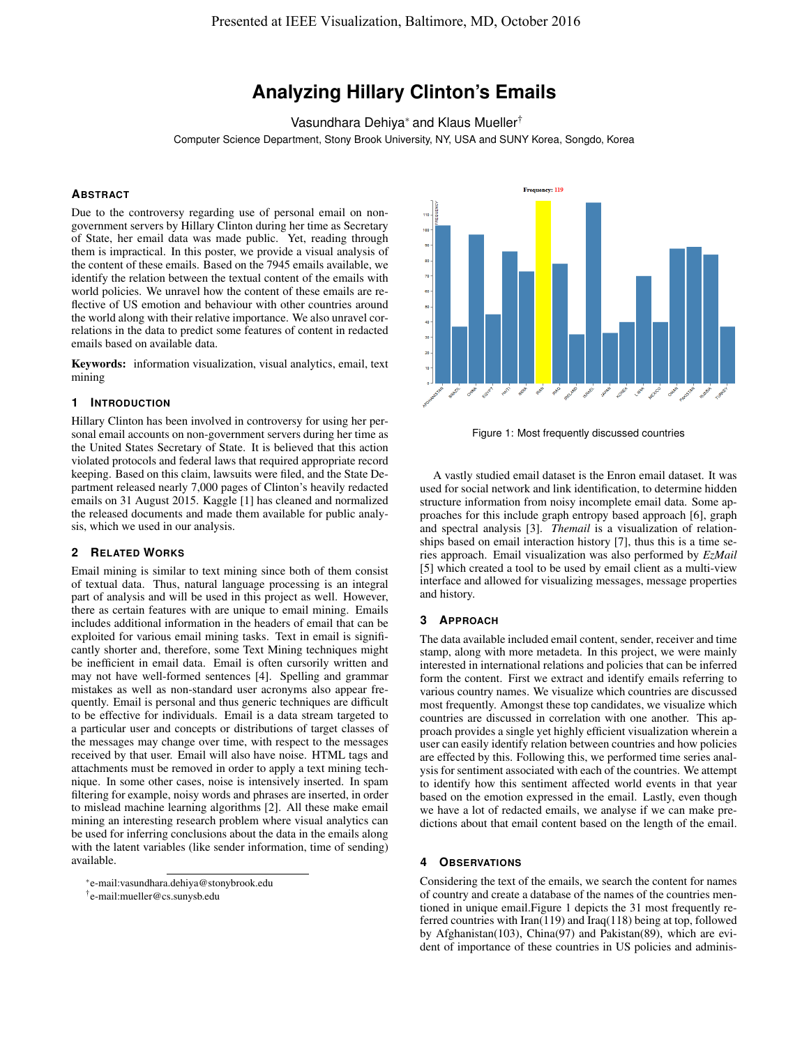# **Analyzing Hillary Clinton's Emails**

Vasundhara Dehiya<sup>∗</sup> and Klaus Mueller†

Computer Science Department, Stony Brook University, NY, USA and SUNY Korea, Songdo, Korea

# **ABSTRACT**

Due to the controversy regarding use of personal email on nongovernment servers by Hillary Clinton during her time as Secretary of State, her email data was made public. Yet, reading through them is impractical. In this poster, we provide a visual analysis of the content of these emails. Based on the 7945 emails available, we identify the relation between the textual content of the emails with world policies. We unravel how the content of these emails are reflective of US emotion and behaviour with other countries around the world along with their relative importance. We also unravel correlations in the data to predict some features of content in redacted emails based on available data.

Keywords: information visualization, visual analytics, email, text mining

### **1 INTRODUCTION**

Hillary Clinton has been involved in controversy for using her personal email accounts on non-government servers during her time as the United States Secretary of State. It is believed that this action violated protocols and federal laws that required appropriate record keeping. Based on this claim, lawsuits were filed, and the State Department released nearly 7,000 pages of Clinton's heavily redacted emails on 31 August 2015. Kaggle [1] has cleaned and normalized the released documents and made them available for public analysis, which we used in our analysis.

# **2 RELATED WORKS**

Email mining is similar to text mining since both of them consist of textual data. Thus, natural language processing is an integral part of analysis and will be used in this project as well. However, there as certain features with are unique to email mining. Emails includes additional information in the headers of email that can be exploited for various email mining tasks. Text in email is significantly shorter and, therefore, some Text Mining techniques might be inefficient in email data. Email is often cursorily written and may not have well-formed sentences [4]. Spelling and grammar mistakes as well as non-standard user acronyms also appear frequently. Email is personal and thus generic techniques are difficult to be effective for individuals. Email is a data stream targeted to a particular user and concepts or distributions of target classes of the messages may change over time, with respect to the messages received by that user. Email will also have noise. HTML tags and attachments must be removed in order to apply a text mining technique. In some other cases, noise is intensively inserted. In spam filtering for example, noisy words and phrases are inserted, in order to mislead machine learning algorithms [2]. All these make email mining an interesting research problem where visual analytics can be used for inferring conclusions about the data in the emails along with the latent variables (like sender information, time of sending) available.

† e-mail:mueller@cs.sunysb.edu



Figure 1: Most frequently discussed countries

A vastly studied email dataset is the Enron email dataset. It was used for social network and link identification, to determine hidden structure information from noisy incomplete email data. Some approaches for this include graph entropy based approach [6], graph and spectral analysis [3]. *Themail* is a visualization of relationships based on email interaction history [7], thus this is a time series approach. Email visualization was also performed by *EzMail* [5] which created a tool to be used by email client as a multi-view interface and allowed for visualizing messages, message properties and history.

#### **3 APPROACH**

The data available included email content, sender, receiver and time stamp, along with more metadeta. In this project, we were mainly interested in international relations and policies that can be inferred form the content. First we extract and identify emails referring to various country names. We visualize which countries are discussed most frequently. Amongst these top candidates, we visualize which countries are discussed in correlation with one another. This approach provides a single yet highly efficient visualization wherein a user can easily identify relation between countries and how policies are effected by this. Following this, we performed time series analysis for sentiment associated with each of the countries. We attempt to identify how this sentiment affected world events in that year based on the emotion expressed in the email. Lastly, even though we have a lot of redacted emails, we analyse if we can make predictions about that email content based on the length of the email.

# **4 OBSERVATIONS**

Considering the text of the emails, we search the content for names of country and create a database of the names of the countries mentioned in unique email.Figure 1 depicts the 31 most frequently referred countries with Iran(119) and Iraq(118) being at top, followed by Afghanistan(103), China(97) and Pakistan(89), which are evident of importance of these countries in US policies and adminis-

<sup>∗</sup> e-mail:vasundhara.dehiya@stonybrook.edu